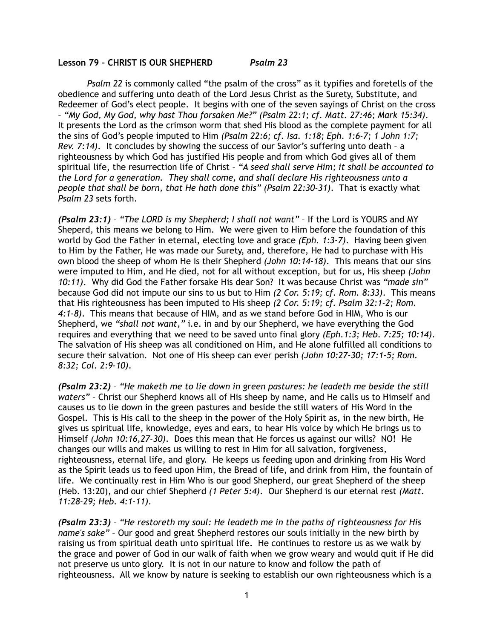## **Lesson 79 – CHRIST IS OUR SHEPHERD** *Psalm 23*

*Psalm 22* is commonly called "the psalm of the cross" as it typifies and foretells of the obedience and suffering unto death of the Lord Jesus Christ as the Surety, Substitute, and Redeemer of God's elect people. It begins with one of the seven sayings of Christ on the cross – *"My God, My God, why hast Thou forsaken Me?" (Psalm 22:1; cf. Matt. 27:46; Mark 15:34)*. It presents the Lord as the crimson worm that shed His blood as the complete payment for all the sins of God's people imputed to Him *(Psalm 22:6; cf. Isa. 1:18; Eph. 1:6-7; 1 John 1:7; Rev. 7:14)*. It concludes by showing the success of our Savior's suffering unto death – a righteousness by which God has justified His people and from which God gives all of them spiritual life, the resurrection life of Christ – *"A seed shall serve Him; it shall be accounted to the Lord for a generation. They shall come, and shall declare His righteousness unto a people that shall be born, that He hath done this" (Psalm 22:30-31)*. That is exactly what *Psalm 23* sets forth.

*(Psalm 23:1)* – *"The LORD is my Shepherd; I shall not want"* – If the Lord is YOURS and MY Sheperd, this means we belong to Him. We were given to Him before the foundation of this world by God the Father in eternal, electing love and grace *(Eph. 1:3-7)*. Having been given to Him by the Father, He was made our Surety, and, therefore, He had to purchase with His own blood the sheep of whom He is their Shepherd *(John 10:14-18)*. This means that our sins were imputed to Him, and He died, not for all without exception, but for us, His sheep *(John 10:11)*. Why did God the Father forsake His dear Son? It was because Christ was *"made sin"* because God did not impute our sins to us but to Him *(2 Cor. 5:19; cf. Rom. 8:33)*. This means that His righteousness has been imputed to His sheep *(2 Cor. 5:19; cf. Psalm 32:1-2; Rom. 4:1-8)*. This means that because of HIM, and as we stand before God in HIM, Who is our Shepherd, we *"shall not want,"* i.e. in and by our Shepherd, we have everything the God requires and everything that we need to be saved unto final glory *(Eph.1:3; Heb. 7:25; 10:14)*. The salvation of His sheep was all conditioned on Him, and He alone fulfilled all conditions to secure their salvation. Not one of His sheep can ever perish *(John 10:27-30; 17:1-5; Rom. 8:32; Col. 2:9-10)*.

*(Psalm 23:2)* – *"He maketh me to lie down in green pastures: he leadeth me beside the still waters"* – Christ our Shepherd knows all of His sheep by name, and He calls us to Himself and causes us to lie down in the green pastures and beside the still waters of His Word in the Gospel. This is His call to the sheep in the power of the Holy Spirit as, in the new birth, He gives us spiritual life, knowledge, eyes and ears, to hear His voice by which He brings us to Himself *(John 10:16,27-30)*. Does this mean that He forces us against our wills? NO! He changes our wills and makes us willing to rest in Him for all salvation, forgiveness, righteousness, eternal life, and glory. He keeps us feeding upon and drinking from His Word as the Spirit leads us to feed upon Him, the Bread of life, and drink from Him, the fountain of life. We continually rest in Him Who is our good Shepherd, our great Shepherd of the sheep (Heb. 13:20), and our chief Shepherd *(1 Peter 5:4)*. Our Shepherd is our eternal rest *(Matt. 11:28-29; Heb. 4:1-11)*.

*(Psalm 23:3)* – *"He restoreth my soul: He leadeth me in the paths of righteousness for His name's sake"* – Our good and great Shepherd restores our souls initially in the new birth by raising us from spiritual death unto spiritual life. He continues to restore us as we walk by the grace and power of God in our walk of faith when we grow weary and would quit if He did not preserve us unto glory. It is not in our nature to know and follow the path of righteousness. All we know by nature is seeking to establish our own righteousness which is a